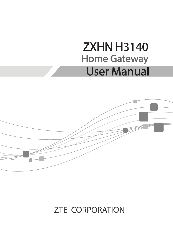# ZXHN H3140 Home Gateway User Manual



### **ZTE CORPORATION**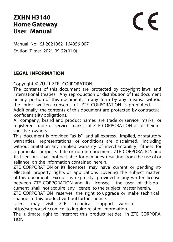### **ZXHN H3140 Home Gateway User Manual**

# $\epsilon$

Manual No: SJ-20210621164956-007 Edition Time: 2021-09-22(R1.0)

### **LEGAL INFORMATION**

Copyright ©2021 ZTE CORPORATION.

The contents of this document are protected by copyright laws and international treaties. Any reproduction or distribution of this document or any portion of this document, in any form by any means, without the prior written consent of ZTE CORPORATION is prohibited.

Additionally, the contents of this document are protected by contractual confidentiality obligations.

All company, brand and product names are trade or service marks, or registered trade or service marks, of ZTE CORPORATION or of their respective owners.

This document is provided "as is", and all express, implied, or statutory warranties, representations or conditions are disclaimed, including without limitation any implied warranty of merchantability, fitness for a particular purpose, title or non-infringement. ZTE CORPORATION and its licensors shall not be liable for damages resulting from the use of or reliance on the information contained herein.

ZTE CORPORATION or its licensors may have current or pending intellectual property rights or applications covering the subject matter of this document. Except as expressly provided in any written license between ZTE CORPORATION and its licensee, the user of this document shall not acquire any license to the subject matter herein.

ZTE CORPORATION reserves the right to upgrade or make technical change to this product without further notice.

Users may visit ZTE technical support website http://support.zte.com.cn to inquire related information.

The ultimate right to interpret this product resides in ZTE CORPORA-TION.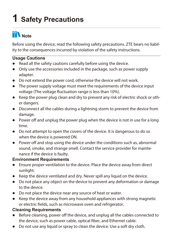# **1 Safety Precautions**

### **Note**

Before using the device, read the following safety precautions. ZTE bears no liability to the consequences incurred by violation of the safety instructions.

### **Usage Cautions**

- Read all the safety cautions carefully before using the device.
- Only use the accessories included in the package, such as power supply adapter.
- Do not extend the power cord, otherwise the device will not work.
- The power supply voltage must meet the requirements of the device input voltage (The voltage fluctuation range is less than 10%).
- Keep the power plug clean and dry to prevent any risk of electric shock or other dangers.
- Disconnect all the cables during a lightning storm to prevent the device from damage.
- Power off and unplug the power plug when the device is not in use for a long time.
- Do not attempt to open the covers of the device. It is dangerous to do so when the device is powered ON.
- Power off and stop using the device under the conditions such as, abnormal sound, smoke, and strange smell. Contact the service provider for maintenance if the device is faulty.

#### **Environment Requirements**

- Ensure proper ventilation to the device. Place the device away from direct sunlight.
- Keep the device ventilated and dry. Never spill any liquid on the device.
- Do not place any object on the device to prevent any deformation or damage to the device.
- Do not place the device near any source of heat or water.
- Keep the device away from any household appliances with strong magnetic or electric fields, such as microwave oven and refrigerator.

#### **Cleaning Requirements**

- Before cleaning, power off the device, and unplug all the cables connected to the device, such as power cable, optical fiber, and Ethernet cable.
- $\bullet$  Do not use any liquid or spray to clean the device. Use a soft dry cloth.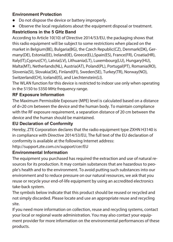#### **Environment Protection**

- $\bullet$  Do not dispose the device or battery improperly.
- Observe the local regulations about the equipment disposal or treatment.

### **Restrictions in the 5 GHz Band**

According to Article 10(10) of Directive 2014/53/EU, the packaging shows that this radio equipment will be subject to some restrictions when placed on the market in Belgium(BE), Bulgaria(BG), the Czech Republic(CZ), Denmark(DK), Germany(DE), Estonia(EE), Ireland(IE), Greece(EL),Spain(ES), France(FR), Croatia(HR), Italy(IT),Cyprus(CY), Latvia(LV), Lithuania(LT), Luxembourg(LU), Hungary(HU), Malta(MT), Netherlands(NL), Austria(AT), Poland(PL), Portugal(PT), Romania(RO), Slovenia(SI), Slovakia(SK), Finland(FI), Sweden(SE), Turkey(TR), Norway(NO), Switzerland(CH), Iceland(IS), and Liechtenstein(LI).

The WLAN function for this device is restricted to indoor use only when operating in the 5150 to 5350 MHz frequency range.

### **RF Exposure Information**

The Maximum Permissible Exposure (MPE) level is calculated based on a distance of d=20 cm between the device and the human body. To maintain compliance with the RF exposure requirement, a separation distance of 20 cm between the device and the human should be maintained.

#### **EU Declaration of Conformity**

Hereby, ZTE Corporation declares that the radio equipment type ZXHN H3140 is in compliance with Directive 2014/53/EU, The full text of the EU declaration of conformity is available at the following Internet address:

<http://support.zte.com.cn/support/cer/EU>

### **Environmental Information**

The equipment you purchased has required the extraction and use of natural resources for its production. It may contain substances that are hazardous to people's health and to the environment. To avoid putting such substances into our environment and to reduce pressure on our natural resources, we ask that you reuse or recycle your end-of-life equipment by using an accredited electronics take-back system.

The symbols below indicate that this product should be reused or recycled and not simply discarded. Please locate and use an appropriate reuse and recycling site.

If you need more information on collection, reuse and recycling systems, contact your local or regional waste administration. You may also contact your equipment provider for more information on the environmental performances of these products.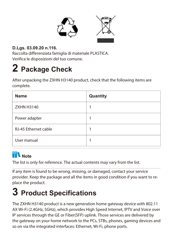

### **D.Lgs. 03.09.20 n.116.**

Raccolta differenziata famiglia di materiale PLASTICA. Verifica le disposizioni del tuo comune.

### **2 Package Check**

After unpacking the ZXHN H3140 product, check that the following items are complete.

| Name                 | Quantity |
|----------------------|----------|
| 7XHN H3140           |          |
| Power adapter        |          |
| RJ-45 Ethernet cable |          |
| User manual          |          |

### **Note**

The list is only for reference. The actual contents may vary from the list.

If any item is found to be wrong, missing, or damaged, contact your service provider. Keep the package and all the items in good condition if you want to replace the product.

### **3 Product Specifications**

The ZXHN H3140 product is a new generation home gateway device with 802.11 AX Wi-Fi (2.4GHz, 5GHz), which provides High Speed Internet, IPTV and Voice over IP services through the GE or Fiber(SFP) uplink. Those services are delivered by the gateway on your home network to the PCs, STBs, phones, gaming devices and so on via the integrated interfaces: Ethernet, Wi-Fi, phone ports.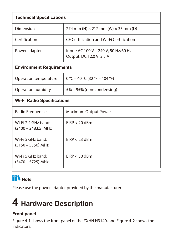| <b>Technical Specifications</b>            |                                                                  |  |
|--------------------------------------------|------------------------------------------------------------------|--|
| Dimension                                  | 274 mm (H) $\times$ 212 mm (W) $\times$ 35 mm (D)                |  |
| Certification                              | CF Certification and Wi-Fi Certification                         |  |
| Power adapter                              | Input: AC 100 V - 240 V, 50 Hz/60 Hz<br>Output: DC 12.0 V, 2.5 A |  |
| <b>Environment Requirements</b>            |                                                                  |  |
| Operation temperature                      | $0 °C - 40 °C (32 °F - 104 °F)$                                  |  |
| Operation humidity                         | 5% - 95% (non-condensing)                                        |  |
| <b>Wi-Fi Radio Specifications</b>          |                                                                  |  |
| Radio Frequencies<br>Maximum Output Power  |                                                                  |  |
| Wi-Fi 2 4 GHz hand:<br>(2400 - 2483.5) MHz | $FIRP < 20$ dBm                                                  |  |
| Wi-Fi 5 GHz band:<br>(5150 - 5350) MHz     | $FIRP < 23$ dBm                                                  |  |
| Wi-Fi 5 GHz band:<br>(5470 - 5725) MHz     | $FIRP < 30$ dBm                                                  |  |

### **Note**

Please use the power adapter provided by the manufacturer.

### **4 Hardware Description**

### **Front panel**

[Figure 4-1](#page-6-0) shows the front panel of the ZXHN H3140, and [Figure 4-2](#page-6-1) shows the indicators.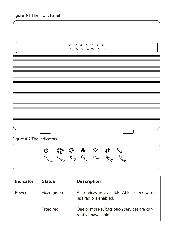<span id="page-6-0"></span>

| $\begin{array}{cccccccccccccc} \mathsf{O} & \mathsf{O} & \mathsf{O} & \mathsf{O} & \mathsf{O} & \mathsf{O} & \mathsf{O} & \mathsf{O} & \mathsf{O} & \mathsf{O} & \mathsf{O} & \mathsf{O} & \mathsf{O} & \mathsf{O} & \mathsf{O} & \mathsf{O} & \mathsf{O} & \mathsf{O} & \mathsf{O} & \mathsf{O} & \mathsf{O} & \mathsf{O} & \mathsf{O} & \mathsf{O} & \mathsf{O} & \mathsf{O} & \mathsf{O} & \mathsf{O} & \mathsf{O} & \mathsf{O} &$ |  |
|---------------------------------------------------------------------------------------------------------------------------------------------------------------------------------------------------------------------------------------------------------------------------------------------------------------------------------------------------------------------------------------------------------------------------------------|--|
|                                                                                                                                                                                                                                                                                                                                                                                                                                       |  |
|                                                                                                                                                                                                                                                                                                                                                                                                                                       |  |
|                                                                                                                                                                                                                                                                                                                                                                                                                                       |  |
|                                                                                                                                                                                                                                                                                                                                                                                                                                       |  |
|                                                                                                                                                                                                                                                                                                                                                                                                                                       |  |
|                                                                                                                                                                                                                                                                                                                                                                                                                                       |  |
|                                                                                                                                                                                                                                                                                                                                                                                                                                       |  |
|                                                                                                                                                                                                                                                                                                                                                                                                                                       |  |
|                                                                                                                                                                                                                                                                                                                                                                                                                                       |  |
|                                                                                                                                                                                                                                                                                                                                                                                                                                       |  |
|                                                                                                                                                                                                                                                                                                                                                                                                                                       |  |
|                                                                                                                                                                                                                                                                                                                                                                                                                                       |  |
|                                                                                                                                                                                                                                                                                                                                                                                                                                       |  |
|                                                                                                                                                                                                                                                                                                                                                                                                                                       |  |
|                                                                                                                                                                                                                                                                                                                                                                                                                                       |  |
|                                                                                                                                                                                                                                                                                                                                                                                                                                       |  |
|                                                                                                                                                                                                                                                                                                                                                                                                                                       |  |
|                                                                                                                                                                                                                                                                                                                                                                                                                                       |  |
|                                                                                                                                                                                                                                                                                                                                                                                                                                       |  |
|                                                                                                                                                                                                                                                                                                                                                                                                                                       |  |
|                                                                                                                                                                                                                                                                                                                                                                                                                                       |  |
|                                                                                                                                                                                                                                                                                                                                                                                                                                       |  |
|                                                                                                                                                                                                                                                                                                                                                                                                                                       |  |
|                                                                                                                                                                                                                                                                                                                                                                                                                                       |  |
|                                                                                                                                                                                                                                                                                                                                                                                                                                       |  |
|                                                                                                                                                                                                                                                                                                                                                                                                                                       |  |
|                                                                                                                                                                                                                                                                                                                                                                                                                                       |  |
|                                                                                                                                                                                                                                                                                                                                                                                                                                       |  |
|                                                                                                                                                                                                                                                                                                                                                                                                                                       |  |
|                                                                                                                                                                                                                                                                                                                                                                                                                                       |  |
|                                                                                                                                                                                                                                                                                                                                                                                                                                       |  |
|                                                                                                                                                                                                                                                                                                                                                                                                                                       |  |
|                                                                                                                                                                                                                                                                                                                                                                                                                                       |  |
|                                                                                                                                                                                                                                                                                                                                                                                                                                       |  |
|                                                                                                                                                                                                                                                                                                                                                                                                                                       |  |
|                                                                                                                                                                                                                                                                                                                                                                                                                                       |  |
|                                                                                                                                                                                                                                                                                                                                                                                                                                       |  |
|                                                                                                                                                                                                                                                                                                                                                                                                                                       |  |
|                                                                                                                                                                                                                                                                                                                                                                                                                                       |  |
|                                                                                                                                                                                                                                                                                                                                                                                                                                       |  |
|                                                                                                                                                                                                                                                                                                                                                                                                                                       |  |
|                                                                                                                                                                                                                                                                                                                                                                                                                                       |  |
|                                                                                                                                                                                                                                                                                                                                                                                                                                       |  |
|                                                                                                                                                                                                                                                                                                                                                                                                                                       |  |
|                                                                                                                                                                                                                                                                                                                                                                                                                                       |  |
|                                                                                                                                                                                                                                                                                                                                                                                                                                       |  |
|                                                                                                                                                                                                                                                                                                                                                                                                                                       |  |
|                                                                                                                                                                                                                                                                                                                                                                                                                                       |  |
|                                                                                                                                                                                                                                                                                                                                                                                                                                       |  |
|                                                                                                                                                                                                                                                                                                                                                                                                                                       |  |
|                                                                                                                                                                                                                                                                                                                                                                                                                                       |  |
|                                                                                                                                                                                                                                                                                                                                                                                                                                       |  |
|                                                                                                                                                                                                                                                                                                                                                                                                                                       |  |
|                                                                                                                                                                                                                                                                                                                                                                                                                                       |  |
|                                                                                                                                                                                                                                                                                                                                                                                                                                       |  |
|                                                                                                                                                                                                                                                                                                                                                                                                                                       |  |
|                                                                                                                                                                                                                                                                                                                                                                                                                                       |  |
|                                                                                                                                                                                                                                                                                                                                                                                                                                       |  |
|                                                                                                                                                                                                                                                                                                                                                                                                                                       |  |
|                                                                                                                                                                                                                                                                                                                                                                                                                                       |  |
|                                                                                                                                                                                                                                                                                                                                                                                                                                       |  |

<span id="page-6-1"></span>Figure 4-2 The indicators



| Indicator | <b>Status</b> | <b>Description</b>                                                       |
|-----------|---------------|--------------------------------------------------------------------------|
| Power     | Fixed areen   | All services are available. At lease one wire-<br>less radio is enabled. |
|           | Fixed red     | One or more subscription services are cur-<br>rently unavailable.        |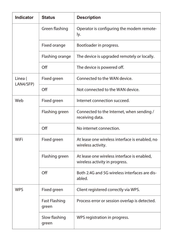| Indicator            | <b>Status</b>          | <b>Description</b>                                                            |
|----------------------|------------------------|-------------------------------------------------------------------------------|
|                      | Green flashing         | Operator is configuring the modem remote-<br>ly.                              |
|                      | Fixed orange           | Bootloader in progress.                                                       |
|                      | Flashing orange        | The device is upgraded remotely or locally.                                   |
|                      | Off                    | The device is powered off.                                                    |
| Linea (<br>LAN4/SFP) | Fixed green            | Connected to the WAN device.                                                  |
|                      | Off                    | Not connected to the WAN device.                                              |
| Weh                  | Fixed green            | Internet connection succeed.                                                  |
|                      | Flashing green         | Connected to the Internet, when sending /<br>receiving data.                  |
|                      | Off                    | No internet connection.                                                       |
| WiFi                 | Fixed green            | At lease one wireless interface is enabled, no<br>wireless activity.          |
|                      | Flashing green         | At lease one wireless interface is enabled.<br>wireless activity in progress. |
|                      | Off                    | Both 2.4G and 5G wireless interfaces are dis-<br>abled.                       |
| <b>WPS</b>           | Fixed green            | Client registered correctly via WPS.                                          |
|                      | Fast Flashing<br>green | Process error or session overlap is detected.                                 |
|                      | Slow flashing<br>green | WPS registration in progress.                                                 |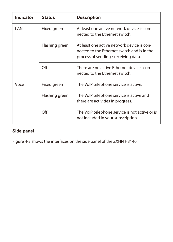| Indicator | <b>Status</b>  | <b>Description</b>                                                                                                                |
|-----------|----------------|-----------------------------------------------------------------------------------------------------------------------------------|
| I AN      | Fixed green    | At least one active network device is con-<br>nected to the Ethernet switch.                                                      |
|           | Flashing green | At least one active network device is con-<br>nected to the Ethernet switch and is in the<br>process of sending / receiving data. |
|           | Off            | There are no active Ethernet devices con-<br>nected to the Ethernet switch.                                                       |
| Voce      | Fixed green    | The VoIP telephone service is active.                                                                                             |
|           | Flashing green | The VoIP telephone service is active and<br>there are activities in progress.                                                     |
|           | Off            | The VoIP telephone service is not active or is<br>not included in your subscription.                                              |

### **Side panel**

[Figure 4-3](#page-9-0) shows the interfaces on the side panel of the ZXHN H3140.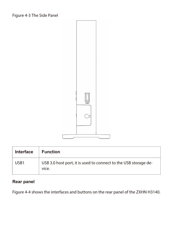<span id="page-9-0"></span>

| Interface | <b>Function</b>                                                          |  |
|-----------|--------------------------------------------------------------------------|--|
| USB1      | USB 3.0 host port, it is used to connect to the USB storage de-<br>vice. |  |

### **Rear panel**

[Figure 4-4](#page-10-0) shows the interfaces and buttons on the rear panel of the ZXHN H3140.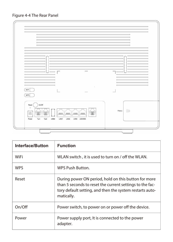<span id="page-10-0"></span>



| Interface/Button | <b>Function</b>                                                                                                                                                                            |
|------------------|--------------------------------------------------------------------------------------------------------------------------------------------------------------------------------------------|
| WiFi             | WLAN switch, it is used to turn on / off the WLAN.                                                                                                                                         |
| <b>WPS</b>       | WPS Push Button.                                                                                                                                                                           |
| Reset            | During power ON period, hold on this button for more<br>than 5 seconds to reset the current settings to the fac-<br>tory default setting, and then the system restarts auto-<br>matically. |
| On/Off           | Power switch, to power on or power off the device.                                                                                                                                         |
| Power            | Power supply port, It is connected to the power<br>adapter.                                                                                                                                |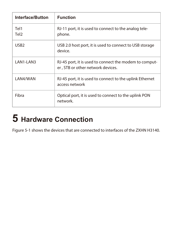| Interface/Button         | <b>Function</b>                                                                             |
|--------------------------|---------------------------------------------------------------------------------------------|
| Tel1<br>Tel <sub>2</sub> | RJ-11 port, it is used to connect to the analog tele-<br>phone.                             |
| USB <sub>2</sub>         | USB 2.0 host port, it is used to connect to USB storage<br>device.                          |
| I AN1-I AN3              | RJ-45 port, it is used to connect the modem to comput-<br>er, STB or other network devices. |
| LAN4/WAN                 | RJ-45 port, it is used to connect to the uplink Ethernet<br>access network                  |
| Fibra                    | Optical port, it is used to connect to the uplink PON<br>network.                           |

# **5 Hardware Connection**

[Figure 5-1](#page-12-0) shows the devices that are connected to interfaces of the ZXHN H3140.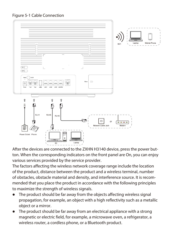<span id="page-12-0"></span>Figure 5-1 Cable Connection



After the devices are connected to the ZXHN H3140 device, press the power button. When the corresponding indicators on the front panel are On, you can enjoy various services provided by the service provider.

The factors affecting the wireless network coverage range include the location of the product, distance between the product and a wireless terminal, number of obstacles, obstacle material and density, and interference source. It is recommended that you place the product in accordance with the following principles to maximize the strength of wireless signals.

- The product should be far away from the objects affecting wireless signal propagation, for example, an object with a high reflectivity such as a metallic object or a mirror.
- The product should be far away from an electrical appliance with a strong magnetic or electric field, for example, a microwave oven, a refrigerator, a wireless router, a cordless phone, or a Bluetooth product.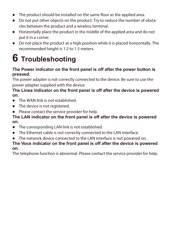- The product should be installed on the same floor as the applied area.
- Do not put other objects on the product. Try to reduce the number of obstacles between the product and a wireless terminal.
- Horizontally place the product in the middle of the applied area and do not put it in a corner.
- Do not place the product at a high position while it is placed horizontally. The recommended height is 1.2 to 1.5 meters.

### **6 Troubleshooting**

#### **The Power indicator on the front panel is off after the power button is pressed.**

The power adapter is not correctly connected to the device. Be sure to use the power adapter supplied with the device.

#### **The Linea indicator on the front panel is off after the device is powered on.**

- $\bullet$  The WAN link is not established.
- The device is not registered.
- Please contact the service provider for help.

#### **The LAN indicator on the front panel is off after the device is powered on.**

- The corresponding LAN link is not established.
- The Ethernet cable is not correctly connected to the LAN interface.
- The network device connected to the LAN interface is not powered on.

#### **The Voce indicator on the front panel is off after the device is powered on.**

The telephone function is abnormal. Please contact the service provider for help.